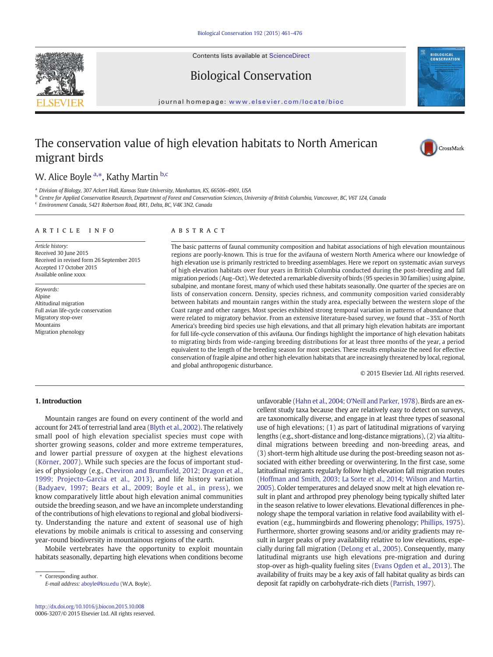Contents lists available at ScienceDirect





## Biological Conservation

journal homepage: <www.elsevier.com/locate/bioc>

# The conservation value of high elevation habitats to North American migrant birds



## W. Alice Boyle <sup>a,\*</sup>, Kathy Martin <sup>b,c</sup>

<sup>a</sup> Division of Biology, 307 Ackert Hall, Kansas State University, Manhattan, KS, 66506–4901, USA

**b** Centre for Applied Conservation Research, Department of Forest and Conservation Sciences, University of British Columbia, Vancouver, BC, V6T 1Z4, Canada

<sup>c</sup> Environment Canada, 5421 Robertson Road, RR1, Delta, BC, V4K 3N2, Canada

### article info abstract

Article history: Received 30 June 2015 Received in revised form 26 September 2015 Accepted 17 October 2015 Available online xxxx

Keywords: Alpine Altitudinal migration Full avian life-cycle conservation Migratory stop-over Mountains Migration phenology

The basic patterns of faunal community composition and habitat associations of high elevation mountainous regions are poorly-known. This is true for the avifauna of western North America where our knowledge of high elevation use is primarily restricted to breeding assemblages. Here we report on systematic avian surveys of high elevation habitats over four years in British Columbia conducted during the post-breeding and fall migration periods (Aug–Oct). We detected a remarkable diversity of birds (95 species in 30 families) using alpine, subalpine, and montane forest, many of which used these habitats seasonally. One quarter of the species are on lists of conservation concern. Density, species richness, and community composition varied considerably between habitats and mountain ranges within the study area, especially between the western slope of the Coast range and other ranges. Most species exhibited strong temporal variation in patterns of abundance that were related to migratory behavior. From an extensive literature-based survey, we found that ~35% of North America's breeding bird species use high elevations, and that all primary high elevation habitats are important for full life-cycle conservation of this avifauna. Our findings highlight the importance of high elevation habitats to migrating birds from wide-ranging breeding distributions for at least three months of the year, a period equivalent to the length of the breeding season for most species. These results emphasize the need for effective conservation of fragile alpine and other high elevation habitats that are increasingly threatened by local, regional, and global anthropogenic disturbance.

© 2015 Elsevier Ltd. All rights reserved.

### 1. Introduction

Mountain ranges are found on every continent of the world and account for 24% of terrestrial land area [\(Blyth et al., 2002](#page--1-0)). The relatively small pool of high elevation specialist species must cope with shorter growing seasons, colder and more extreme temperatures, and lower partial pressure of oxygen at the highest elevations [\(Körner, 2007](#page--1-0)). While such species are the focus of important studies of physiology (e.g., Cheviron and Brumfi[eld, 2012; Dragon et al.,](#page--1-0) [1999; Projecto-Garcia et al., 2013\)](#page--1-0), and life history variation [\(Badyaev, 1997; Bears et al., 2009; Boyle et al., in press\)](#page--1-0), we know comparatively little about high elevation animal communities outside the breeding season, and we have an incomplete understanding of the contributions of high elevations to regional and global biodiversity. Understanding the nature and extent of seasonal use of high elevations by mobile animals is critical to assessing and conserving year-round biodiversity in mountainous regions of the earth.

Mobile vertebrates have the opportunity to exploit mountain habitats seasonally, departing high elevations when conditions become

Corresponding author. E-mail address: [aboyle@ksu.edu](mailto:aboyle@ksu.edu) (W.A. Boyle). unfavorable [\(Hahn et al., 2004; O'Neill and Parker, 1978\)](#page--1-0). Birds are an excellent study taxa because they are relatively easy to detect on surveys, are taxonomically diverse, and engage in at least three types of seasonal use of high elevations; (1) as part of latitudinal migrations of varying lengths (e.g., short-distance and long-distance migrations), (2) via altitudinal migrations between breeding and non-breeding areas, and (3) short-term high altitude use during the post-breeding season not associated with either breeding or overwintering. In the first case, some latitudinal migrants regularly follow high elevation fall migration routes [\(Hoffman and Smith, 2003; La Sorte et al., 2014; Wilson and Martin,](#page--1-0) [2005](#page--1-0)). Colder temperatures and delayed snow melt at high elevation result in plant and arthropod prey phenology being typically shifted later in the season relative to lower elevations. Elevational differences in phenology shape the temporal variation in relative food availability with elevation (e.g., hummingbirds and flowering phenology; [Phillips, 1975](#page--1-0)). Furthermore, shorter growing seasons and/or aridity gradients may result in larger peaks of prey availability relative to low elevations, especially during fall migration [\(DeLong et al., 2005\)](#page--1-0). Consequently, many latitudinal migrants use high elevations pre-migration and during stop-over as high-quality fueling sites ([Evans Ogden et al., 2013\)](#page--1-0). The availability of fruits may be a key axis of fall habitat quality as birds can deposit fat rapidly on carbohydrate-rich diets [\(Parrish, 1997\)](#page--1-0).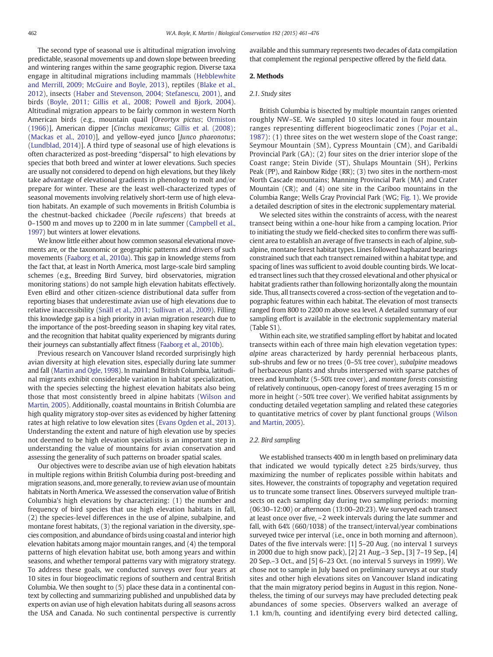The second type of seasonal use is altitudinal migration involving predictable, seasonal movements up and down slope between breeding and wintering ranges within the same geographic region. Diverse taxa engage in altitudinal migrations including mammals ([Hebblewhite](#page--1-0) [and Merrill, 2009; McGuire and Boyle, 2013](#page--1-0)), reptiles ([Blake et al.,](#page--1-0) [2012](#page--1-0)), insects [\(Haber and Stevenson, 2004; Stefanescu, 2001\)](#page--1-0), and birds [\(Boyle, 2011; Gillis et al., 2008; Powell and Bjork, 2004](#page--1-0)). Altitudinal migration appears to be fairly common in western North American birds (e.g., mountain quail [Oreortyx pictus; [Ormiston](#page--1-0) [\(1966\)](#page--1-0)], American dipper [Cinclus mexicanus; [Gillis et al. \(2008\)](#page--1-0); [\(Mackas et al., 2010\)](#page--1-0)], and yellow-eyed junco [*Junco phaeonotus*; [\(Lundblad, 2014](#page--1-0))]. A third type of seasonal use of high elevations is often characterized as post-breeding "dispersal" to high elevations by species that both breed and winter at lower elevations. Such species are usually not considered to depend on high elevations, but they likely take advantage of elevational gradients in phenology to molt and/or prepare for winter. These are the least well-characterized types of seasonal movements involving relatively short-term use of high elevation habitats. An example of such movements in British Columbia is the chestnut-backed chickadee (Poecile rufescens) that breeds at 0–1500 m and moves up to 2200 m in late summer ([Campbell et al.,](#page--1-0) [1997\)](#page--1-0) but winters at lower elevations.

We know little either about how common seasonal elevational movements are, or the taxonomic or geographic patterns and drivers of such movements [\(Faaborg et al., 2010a](#page--1-0)). This gap in knowledge stems from the fact that, at least in North America, most large-scale bird sampling schemes (e.g., Breeding Bird Survey, bird observatories, migration monitoring stations) do not sample high elevation habitats effectively. Even eBird and other citizen-science distributional data suffer from reporting biases that underestimate avian use of high elevations due to relative inaccessibility [\(Snäll et al., 2011; Sullivan et al., 2009\)](#page--1-0). Filling this knowledge gap is a high priority in avian migration research due to the importance of the post-breeding season in shaping key vital rates, and the recognition that habitat quality experienced by migrants during their journeys can substantially affect fitness ([Faaborg et al., 2010b](#page--1-0)).

Previous research on Vancouver Island recorded surprisingly high avian diversity at high elevation sites, especially during late summer and fall ([Martin and Ogle, 1998](#page--1-0)). In mainland British Columbia, latitudinal migrants exhibit considerable variation in habitat specialization, with the species selecting the highest elevation habitats also being those that most consistently breed in alpine habitats ([Wilson and](#page--1-0) [Martin, 2005](#page--1-0)). Additionally, coastal mountains in British Columbia are high quality migratory stop-over sites as evidenced by higher fattening rates at high relative to low elevation sites ([Evans Ogden et al., 2013\)](#page--1-0). Understanding the extent and nature of high elevation use by species not deemed to be high elevation specialists is an important step in understanding the value of mountains for avian conservation and assessing the generality of such patterns on broader spatial scales.

Our objectives were to describe avian use of high elevation habitats in multiple regions within British Columbia during post-breeding and migration seasons, and, more generally, to review avian use of mountain habitats in North America. We assessed the conservation value of British Columbia's high elevations by characterizing: (1) the number and frequency of bird species that use high elevation habitats in fall, (2) the species-level differences in the use of alpine, subalpine, and montane forest habitats, (3) the regional variation in the diversity, species composition, and abundance of birds using coastal and interior high elevation habitats among major mountain ranges, and (4) the temporal patterns of high elevation habitat use, both among years and within seasons, and whether temporal patterns vary with migratory strategy. To address these goals, we conducted surveys over four years at 10 sites in four biogeoclimatic regions of southern and central British Columbia. We then sought to (5) place these data in a continental context by collecting and summarizing published and unpublished data by experts on avian use of high elevation habitats during all seasons across the USA and Canada. No such continental perspective is currently available and this summary represents two decades of data compilation that complement the regional perspective offered by the field data.

### 2. Methods

### 2.1. Study sites

British Columbia is bisected by multiple mountain ranges oriented roughly NW–SE. We sampled 10 sites located in four mountain ranges representing different biogeoclimatic zones ([Pojar et al.,](#page--1-0) [1987](#page--1-0)): (1) three sites on the wet western slope of the Coast range; Seymour Mountain (SM), Cypress Mountain (CM), and Garibaldi Provincial Park (GA); (2) four sites on the drier interior slope of the Coast range; Stein Divide (ST), Shulaps Mountain (SH), Perkins Peak (PP), and Rainbow Ridge (RR); (3) two sites in the northern-most North Cascade mountains; Manning Provincial Park (MA) and Crater Mountain (CR); and (4) one site in the Cariboo mountains in the Columbia Range; Wells Gray Provincial Park (WG; [Fig. 1](#page--1-0)). We provide a detailed description of sites in the electronic supplementary material.

We selected sites within the constraints of access, with the nearest transect being within a one-hour hike from a camping location. Prior to initiating the study we field-checked sites to confirm there was sufficient area to establish an average of five transects in each of alpine, subalpine, montane forest habitat types. Lines followed haphazard bearings constrained such that each transect remained within a habitat type, and spacing of lines was sufficient to avoid double counting birds. We located transect lines such that they crossed elevational and other physical or habitat gradients rather than following horizontally along the mountain side. Thus, all transects covered a cross-section of the vegetation and topographic features within each habitat. The elevation of most transects ranged from 800 to 2200 m above sea level. A detailed summary of our sampling effort is available in the electronic supplementary material (Table S1).

Within each site, we stratified sampling effort by habitat and located transects within each of three main high elevation vegetation types: alpine areas characterized by hardy perennial herbaceous plants, sub-shrubs and few or no trees (0–5% tree cover), subalpine meadows of herbaceous plants and shrubs interspersed with sparse patches of trees and krumholtz (5–50% tree cover), and montane forests consisting of relatively continuous, open-canopy forest of trees averaging 15 m or more in height  $(>50%$  tree cover). We verified habitat assignments by conducting detailed vegetation sampling and related these categories to quantitative metrics of cover by plant functional groups ([Wilson](#page--1-0) [and Martin, 2005\)](#page--1-0).

### 2.2. Bird sampling

We established transects 400 m in length based on preliminary data that indicated we would typically detect ≥25 birds/survey, thus maximizing the number of replicates possible within habitats and sites. However, the constraints of topography and vegetation required us to truncate some transect lines. Observers surveyed multiple transects on each sampling day during two sampling periods: morning (06:30–12:00) or afternoon (13:00–20:23). We surveyed each transect at least once over five, ~2 week intervals during the late summer and fall, with 64% (660/1038) of the transect/interval/year combinations surveyed twice per interval (i.e., once in both morning and afternoon). Dates of the five intervals were: [1] 5–20 Aug. (no interval 1 surveys in 2000 due to high snow pack), [2] 21 Aug.–3 Sep., [3] 7–19 Sep., [4] 20 Sep.–3 Oct., and [5] 6–23 Oct. (no interval 5 surveys in 1999). We chose not to sample in July based on preliminary surveys at our study sites and other high elevations sites on Vancouver Island indicating that the main migratory period begins in August in this region. Nonetheless, the timing of our surveys may have precluded detecting peak abundances of some species. Observers walked an average of 1.1 km/h, counting and identifying every bird detected calling,